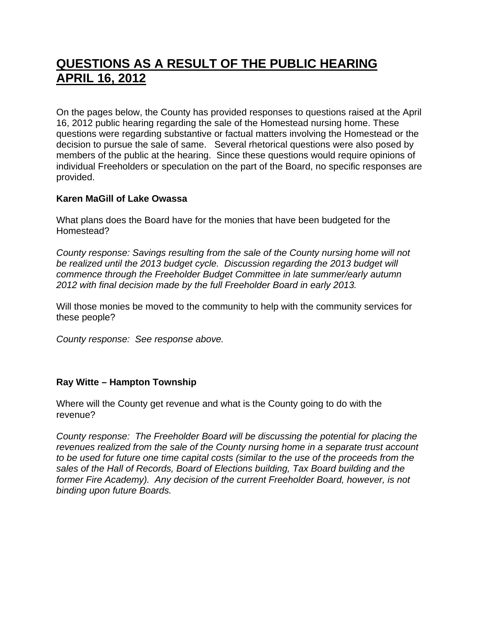# **QUESTIONS AS A RESULT OF THE PUBLIC HEARING APRIL 16, 2012**

On the pages below, the County has provided responses to questions raised at the April 16, 2012 public hearing regarding the sale of the Homestead nursing home. These questions were regarding substantive or factual matters involving the Homestead or the decision to pursue the sale of same. Several rhetorical questions were also posed by members of the public at the hearing. Since these questions would require opinions of individual Freeholders or speculation on the part of the Board, no specific responses are provided.

## **Karen MaGill of Lake Owassa**

What plans does the Board have for the monies that have been budgeted for the Homestead?

*County response: Savings resulting from the sale of the County nursing home will not be realized until the 2013 budget cycle. Discussion regarding the 2013 budget will commence through the Freeholder Budget Committee in late summer/early autumn 2012 with final decision made by the full Freeholder Board in early 2013.* 

Will those monies be moved to the community to help with the community services for these people?

*County response: See response above.* 

## **Ray Witte – Hampton Township**

Where will the County get revenue and what is the County going to do with the revenue?

*County response: The Freeholder Board will be discussing the potential for placing the revenues realized from the sale of the County nursing home in a separate trust account to be used for future one time capital costs (similar to the use of the proceeds from the sales of the Hall of Records, Board of Elections building, Tax Board building and the former Fire Academy). Any decision of the current Freeholder Board, however, is not binding upon future Boards.*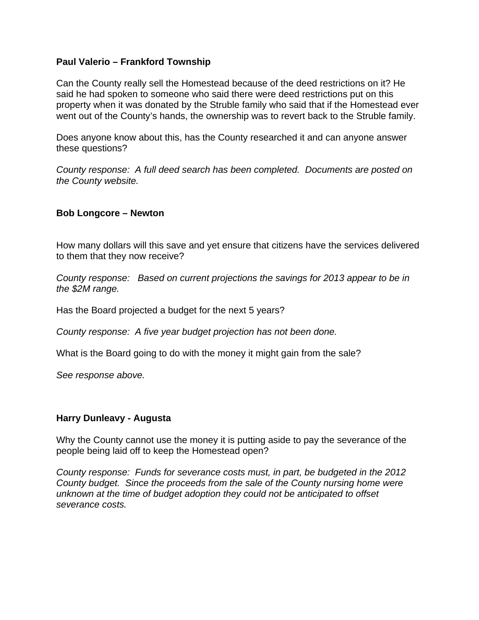#### **Paul Valerio – Frankford Township**

Can the County really sell the Homestead because of the deed restrictions on it? He said he had spoken to someone who said there were deed restrictions put on this property when it was donated by the Struble family who said that if the Homestead ever went out of the County's hands, the ownership was to revert back to the Struble family.

Does anyone know about this, has the County researched it and can anyone answer these questions?

*County response: A full deed search has been completed. Documents are posted on the County website.* 

#### **Bob Longcore – Newton**

How many dollars will this save and yet ensure that citizens have the services delivered to them that they now receive?

*County response: Based on current projections the savings for 2013 appear to be in the \$2M range.* 

Has the Board projected a budget for the next 5 years?

*County response: A five year budget projection has not been done.* 

What is the Board going to do with the money it might gain from the sale?

*See response above.* 

#### **Harry Dunleavy - Augusta**

Why the County cannot use the money it is putting aside to pay the severance of the people being laid off to keep the Homestead open?

*County response: Funds for severance costs must, in part, be budgeted in the 2012 County budget. Since the proceeds from the sale of the County nursing home were unknown at the time of budget adoption they could not be anticipated to offset severance costs.*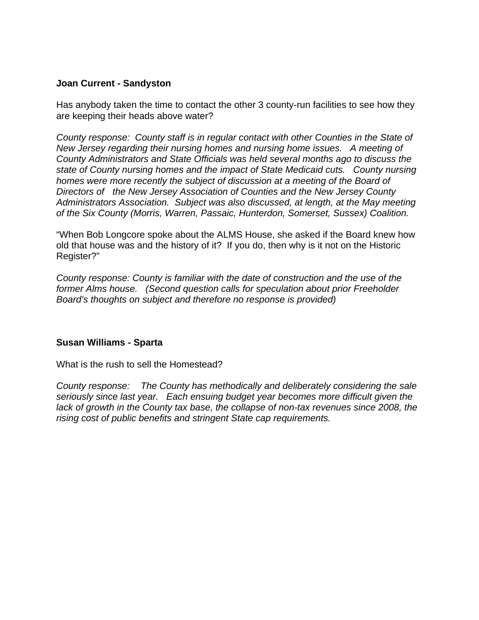## **Joan Current - Sandyston**

Has anybody taken the time to contact the other 3 county-run facilities to see how they are keeping their heads above water?

*County response: County staff is in regular contact with other Counties in the State of New Jersey regarding their nursing homes and nursing home issues. A meeting of County Administrators and State Officials was held several months ago to discuss the state of County nursing homes and the impact of State Medicaid cuts. County nursing homes were more recently the subject of discussion at a meeting of the Board of Directors of the New Jersey Association of Counties and the New Jersey County Administrators Association. Subject was also discussed, at length, at the May meeting of the Six County (Morris, Warren, Passaic, Hunterdon, Somerset, Sussex) Coalition.* 

"When Bob Longcore spoke about the ALMS House, she asked if the Board knew how old that house was and the history of it? If you do, then why is it not on the Historic Register?"

*County response: County is familiar with the date of construction and the use of the former Alms house. (Second question calls for speculation about prior Freeholder Board's thoughts on subject and therefore no response is provided)* 

## **Susan Williams - Sparta**

What is the rush to sell the Homestead?

*County response: The County has methodically and deliberately considering the sale seriously since last year. Each ensuing budget year becomes more difficult given the*  lack of growth in the County tax base, the collapse of non-tax revenues since 2008, the *rising cost of public benefits and stringent State cap requirements.*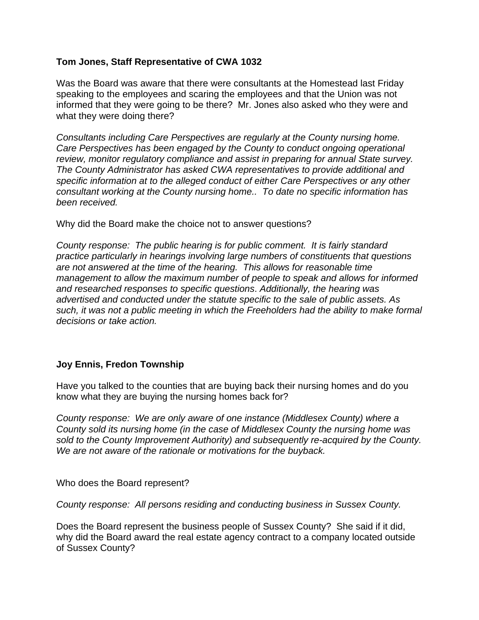## **Tom Jones, Staff Representative of CWA 1032**

Was the Board was aware that there were consultants at the Homestead last Friday speaking to the employees and scaring the employees and that the Union was not informed that they were going to be there? Mr. Jones also asked who they were and what they were doing there?

*Consultants including Care Perspectives are regularly at the County nursing home. Care Perspectives has been engaged by the County to conduct ongoing operational review, monitor regulatory compliance and assist in preparing for annual State survey. The County Administrator has asked CWA representatives to provide additional and specific information at to the alleged conduct of either Care Perspectives or any other consultant working at the County nursing home.. To date no specific information has been received.* 

Why did the Board make the choice not to answer questions?

*County response: The public hearing is for public comment. It is fairly standard practice particularly in hearings involving large numbers of constituents that questions are not answered at the time of the hearing. This allows for reasonable time management to allow the maximum number of people to speak and allows for informed and researched responses to specific questions*. *Additionally, the hearing was advertised and conducted under the statute specific to the sale of public assets. As such, it was not a public meeting in which the Freeholders had the ability to make formal decisions or take action.*

## **Joy Ennis, Fredon Township**

Have you talked to the counties that are buying back their nursing homes and do you know what they are buying the nursing homes back for?

*County response: We are only aware of one instance (Middlesex County) where a County sold its nursing home (in the case of Middlesex County the nursing home was sold to the County Improvement Authority) and subsequently re-acquired by the County. We are not aware of the rationale or motivations for the buyback.* 

Who does the Board represent?

*County response: All persons residing and conducting business in Sussex County.* 

Does the Board represent the business people of Sussex County? She said if it did, why did the Board award the real estate agency contract to a company located outside of Sussex County?